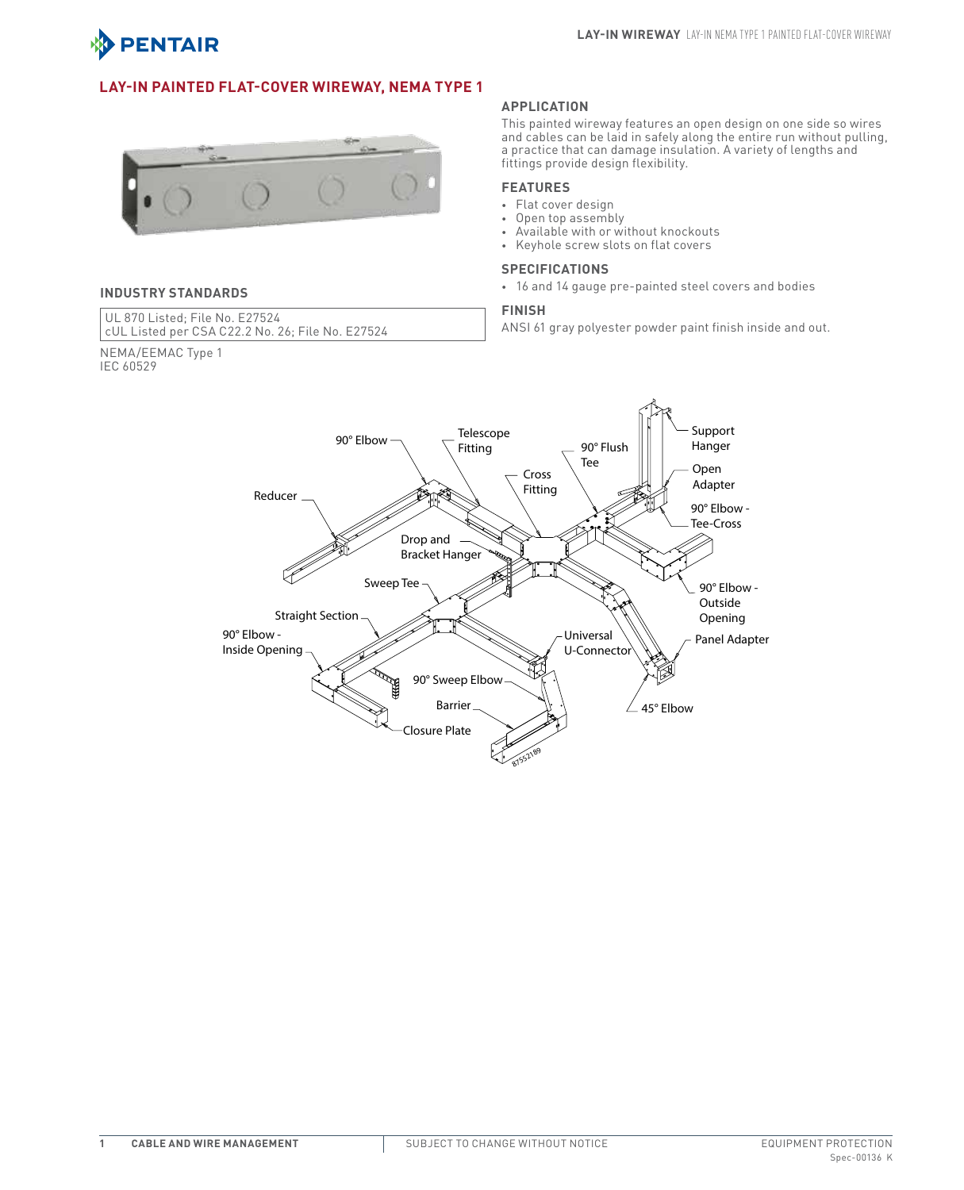

## **Lay-In Painted Flat-Cover Wireway, NEMA Type 1**



### **INDUSTRY STANDARDS**

NEMA/EEMAC Type 1

IEC 60529

UL 870 Listed; File No. E27524 cUL Listed per CSA C22.2 No. 26; File No. E27524

#### **APPLICATION**

This painted wireway features an open design on one side so wires and cables can be laid in safely along the entire run without pulling, a practice that can damage insulation. A variety of lengths and fittings provide design flexibility.

### **FEATURES**

- • Flat cover design
- • Open top assembly
- • Available with or without knockouts
- • Keyhole screw slots on flat covers

### **SPECIFICATIONS**

• 16 and 14 gauge pre-painted steel covers and bodies

### **FINISH**

ANSI 61 gray polyester powder paint finish inside and out.

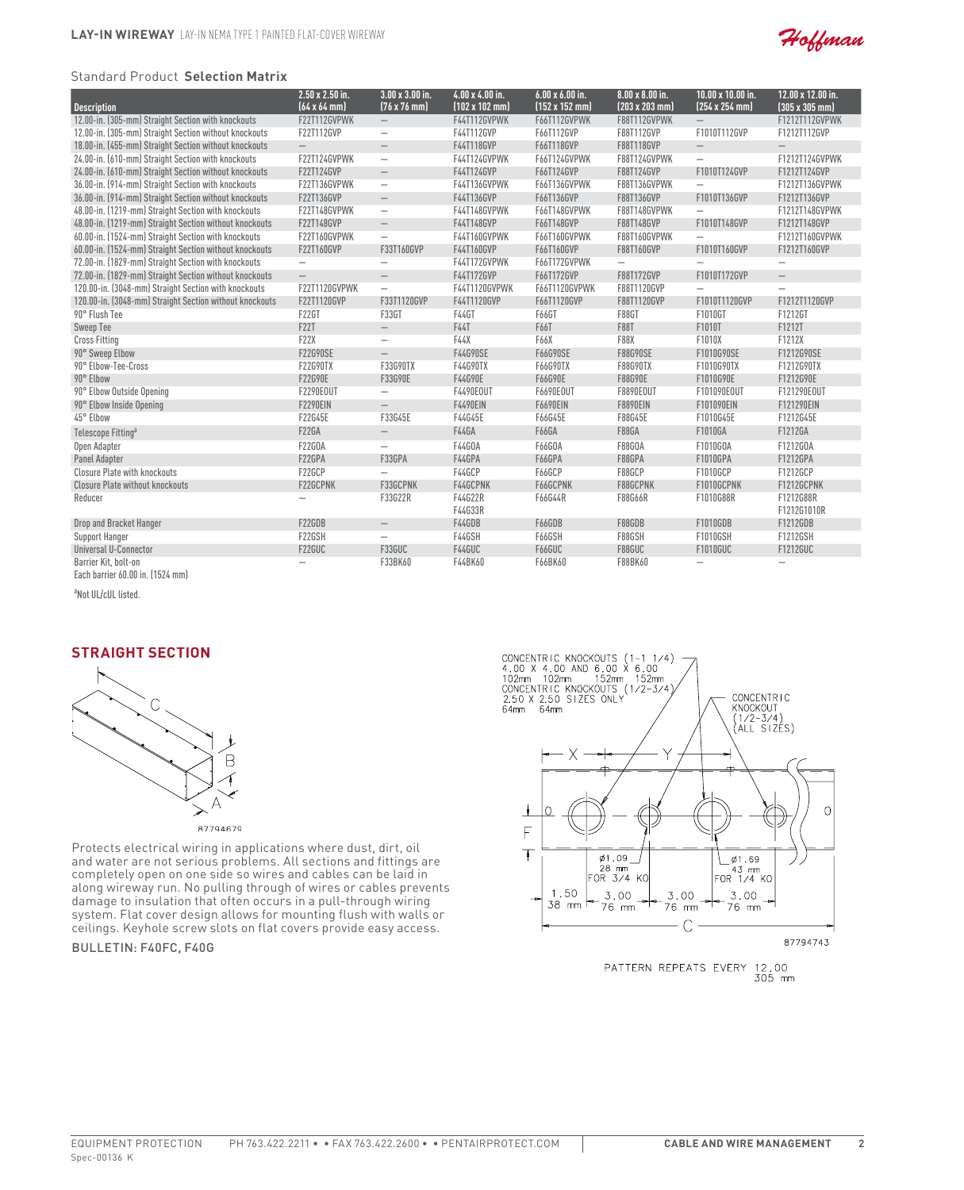

#### Standard Product **Selection Matrix**

| <b>Description</b>                                      | $2.50 \times 2.50$ in.<br>$[64 \times 64$ mm | $3.00 \times 3.00$ in.<br>$(76 \times 76)$ mm | $4.00 \times 4.00$ in.<br>$[102 \times 102$ mm) | $6.00 \times 6.00$ in.<br>$(152 \times 152 \text{ mm})$ | $8.00 \times 8.00$ in.<br>$(203 \times 203 \text{ mm})$ | $10.00 \times 10.00$ in.<br>$(254 \times 254)$ mm) | 12.00 x 12.00 in.<br>$(305 \times 305)$ mm) |
|---------------------------------------------------------|----------------------------------------------|-----------------------------------------------|-------------------------------------------------|---------------------------------------------------------|---------------------------------------------------------|----------------------------------------------------|---------------------------------------------|
| 12.00-in. (305-mm) Straight Section with knockouts      | F22T112GVPWK                                 | $-$                                           | <b>F44T112GVPWK</b>                             | F66T112GVPWK                                            | F88T112GVPWK                                            | $\overline{\phantom{0}}$                           | F1212T112GVPWK                              |
| 12.00-in. (305-mm) Straight Section without knockouts   | F22T112GVP                                   | $\overline{\phantom{0}}$                      | F44T112GVP                                      | F66T112GVP                                              | F88T112GVP                                              | F1010T112GVP                                       | F1212T112GVP                                |
| 18.00-in. (455-mm) Straight Section without knockouts   | $\overline{\phantom{0}}$                     | $\qquad \qquad -$                             | F44T118GVP                                      | F66T118GVP                                              | F88T118GVP                                              | $\hspace{0.1mm}-\hspace{0.1mm}$                    | $\qquad \qquad -$                           |
| 24.00-in. (610-mm) Straight Section with knockouts      | F22T124GVPWK                                 | $\overline{\phantom{0}}$                      | F44T124GVPWK                                    | F66T124GVPWK                                            | F88T124GVPWK                                            | $\overline{\phantom{0}}$                           | F1212T124GVPWK                              |
| 24.00-in. (610-mm) Straight Section without knockouts   | F22T124GVP                                   | $\overline{\phantom{m}}$                      | F44T124GVP                                      | F66T124GVP                                              | F88T124GVP                                              | F1010T124GVP                                       | F1212T124GVP                                |
| 36.00-in. (914-mm) Straight Section with knockouts      | F22T136GVPWK                                 | $\qquad \qquad -$                             | F44T136GVPWK                                    | F66T136GVPWK                                            | F88T136GVPWK                                            | $\overline{\phantom{0}}$                           | F1212T136GVPWK                              |
| 36.00-in. (914-mm) Straight Section without knockouts   | F22T136GVP                                   |                                               | F44T136GVP                                      | F66T136GVP                                              | F88T136GVP                                              | F1010T136GVP                                       | F1212T136GVP                                |
| 48.00-in. (1219-mm) Straight Section with knockouts     | F22T148GVPWK                                 | $\overline{\phantom{m}}$                      | F44T148GVPWK                                    | F66T148GVPWK                                            | F88T148GVPWK                                            | $\equiv$                                           | F1212T148GVPWK                              |
|                                                         |                                              | $\qquad \qquad -$                             |                                                 |                                                         |                                                         |                                                    |                                             |
| 48.00-in. (1219-mm) Straight Section without knockouts  | F22T148GVP                                   |                                               | F44T148GVP                                      | F66T148GVP                                              | F88T148GVP                                              | F1010T148GVP                                       | F1212T148GVP                                |
| 60.00-in. (1524-mm) Straight Section with knockouts     | F22T160GVPWK                                 | $\overline{\phantom{0}}$                      | F44T160GVPWK                                    | F66T160GVPWK                                            | F88T160GVPWK                                            | $\overline{\phantom{0}}$                           | F1212T160GVPWK                              |
| 60.00-in. (1524-mm) Straight Section without knockouts  | F22T160GVP                                   | F33T160GVP                                    | F44T160GVP                                      | F66T160GVP                                              | F88T160GVP                                              | F1010T160GVP                                       | F1212T160GVP                                |
| 72.00-in. (1829-mm) Straight Section with knockouts     | $\overline{\phantom{m}}$                     |                                               | F44T172GVPWK                                    | F66T172GVPWK                                            | $\qquad \qquad -$                                       | -                                                  | $\overline{\phantom{m}}$                    |
| 72.00-in. (1829-mm) Straight Section without knockouts  | $\overline{\phantom{0}}$                     | $\overline{\phantom{m}}$                      | F44T172GVP                                      | F66T172GVP                                              | F88T172GVP                                              | F1010T172GVP                                       | $\overline{\phantom{0}}$                    |
| 120.00-in. (3048-mm) Straight Section with knockouts    | F22T1120GVPWK                                | $\overline{\phantom{0}}$                      | F44T1120GVPWK                                   | F66T1120GVPWK                                           | F88T1120GVP                                             | -                                                  |                                             |
| 120.00-in. (3048-mm) Straight Section without knockouts | F22T1120GVP                                  | F33T1120GVP                                   | F44T1120GVP                                     | F66T1120GVP                                             | F88T1120GVP                                             | F1010T1120GVP                                      | F1212T1120GVP                               |
| 90° Flush Tee                                           | <b>F22GT</b>                                 | F33GT                                         | F44GT                                           | F66GT                                                   | <b>F88GT</b>                                            | F1010GT                                            | F1212GT                                     |
| <b>Sweep Tee</b>                                        | <b>F22T</b>                                  | $\overline{\phantom{m}}$                      | F44T                                            | F66T                                                    | <b>F88T</b>                                             | F1010T                                             | F1212T                                      |
| <b>Cross Fitting</b>                                    | <b>F22X</b>                                  |                                               | F44X                                            | F66X                                                    | <b>F88X</b>                                             | F1010X                                             | F1212X                                      |
| 90° Sweep Elbow                                         | <b>F22G90SE</b>                              | $\overline{\phantom{m}}$                      | F44G90SE                                        | F66G90SE                                                | F88G90SE                                                | F1010G90SE                                         | F1212G90SE                                  |
| 90° Elbow-Tee-Cross                                     | F22G90TX                                     | F33G90TX                                      | F44G90TX                                        | F66G90TX                                                | F88G90TX                                                | F1010G90TX                                         | F1212G90TX                                  |
| 90° Elbow                                               | F22G90E                                      | F33G90E                                       | F44G90E                                         | F66G90E                                                 | F88G90E                                                 | F1010G90E                                          | F1212G90E                                   |
| 90° Elbow Outside Opening                               | F2290E0UT                                    | $\overline{\phantom{0}}$                      | F4490E0UT                                       | F6690E0UT                                               | F8890E0UT                                               | F101090E0UT                                        | F121290E0UT                                 |
| 90° Elbow Inside Opening                                | <b>F2290EIN</b>                              | $\qquad \qquad -$                             | <b>F4490EIN</b>                                 | <b>F6690EIN</b>                                         | <b>F8890EIN</b>                                         | F101090EIN                                         | F121290EIN                                  |
| 45° Elbow                                               | F22G45E                                      | F33G45E                                       | F44G45E                                         | F66G45E                                                 | F88G45E                                                 | F1010G45E                                          | F1212G45E                                   |
| Telescope Fitting <sup>a</sup>                          | <b>F22GA</b>                                 | $\overline{\phantom{0}}$                      | <b>F44GA</b>                                    | F66GA                                                   | F88GA                                                   | F1010GA                                            | F1212GA                                     |
| Open Adapter                                            | F22G0A                                       | $\qquad \qquad -$                             | F44G0A                                          | F66G0A                                                  | F88G0A                                                  | F1010G0A                                           | F1212G0A                                    |
| <b>Panel Adapter</b>                                    | F22GPA                                       | F33GPA                                        | F44GPA                                          | F66GPA                                                  | F88GPA                                                  | F1010GPA                                           | F1212GPA                                    |
| <b>Closure Plate with knockouts</b>                     | F22GCP                                       |                                               | F44GCP                                          | F66GCP                                                  | F88GCP                                                  | F1010GCP                                           | F1212GCP                                    |
| <b>Closure Plate without knockouts</b>                  | F22GCPNK                                     | F33GCPNK                                      | F44GCPNK                                        | F66GCPNK                                                | F88GCPNK                                                | F1010GCPNK                                         | F1212GCPNK                                  |
| Reducer                                                 |                                              | F33G22R                                       | F44G22R                                         | F66G44R                                                 | F88G66R                                                 | F1010G88R                                          | F1212G88R                                   |
|                                                         |                                              |                                               | F44G33R                                         |                                                         |                                                         |                                                    | F1212G1010R                                 |
| Drop and Bracket Hanger                                 | F22GDB                                       | $\overline{\phantom{m}}$                      | F44GDB                                          | F66GDB                                                  | F88GDB                                                  | F1010GDB                                           | F1212GDB                                    |
| <b>Support Hanger</b>                                   | F22GSH                                       | $\overline{\phantom{0}}$                      | F44GSH                                          | F66GSH                                                  | F88GSH                                                  | F1010GSH                                           | F1212GSH                                    |
| Universal U-Connector                                   | F22GUC                                       | F33GUC                                        | F44GUC                                          | F66GUC                                                  | F88GUC                                                  | F1010GUC                                           | F1212GUC                                    |
| Barrier Kit, bolt-on                                    |                                              | F33BK60                                       | F44BK60                                         | F66BK60                                                 | F88BK60                                                 |                                                    |                                             |
| Each barrier 60.00 in. (1524 mm)                        |                                              |                                               |                                                 |                                                         |                                                         |                                                    |                                             |

<sup>a</sup>Not UL/cUL listed.

## **Straight Section**



Protects electrical wiring in applications where dust, dirt, oil and water are not serious problems. All sections and fittings are completely open on one side so wires and cables can be laid in along wireway run. No pulling through of wires or cables prevents damage to insulation that often occurs in a pull-through wiring system. Flat cover design allows for mounting flush with walls or ceilings. Keyhole screw slots on flat covers provide easy access.

Bulletin: F40FC, F40G



PATTERN REPEATS EVERY 12.00<br>305 mm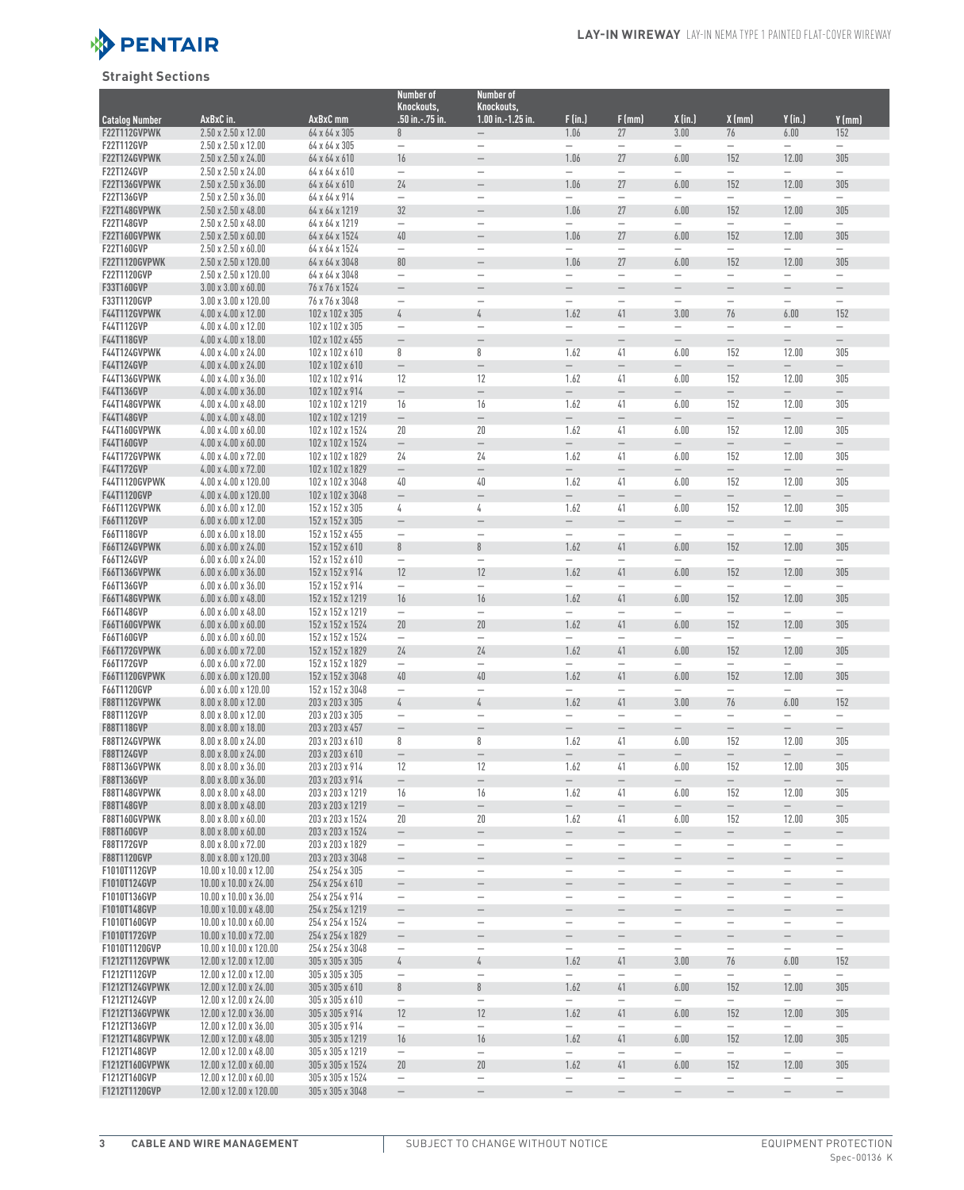

## **Straight Sections**

|                                     |                                                                      |                                      | Number of                                            | <b>Number of</b>                                     |                                               |                                                               |                                                      |                                                      |                                               |                                        |
|-------------------------------------|----------------------------------------------------------------------|--------------------------------------|------------------------------------------------------|------------------------------------------------------|-----------------------------------------------|---------------------------------------------------------------|------------------------------------------------------|------------------------------------------------------|-----------------------------------------------|----------------------------------------|
| <b>Catalog Number</b>               | AxBxC in.                                                            | AxBxC mm                             | Knockouts,<br>.50 in.-.75 in.                        | Knockouts,<br>$1.00$ in. $-1.25$ in.                 | F(in.)                                        | F(mm)                                                         | X (in.)                                              | X (mm)                                               | $Y$ (in.)                                     | Y (mm)                                 |
| F22T112GVPWK                        | $2.50 \times 2.50 \times 12.00$                                      | 64 x 64 x 305                        | 8                                                    |                                                      | 1.06                                          | 27                                                            | 3.00                                                 | 76                                                   | 6.00                                          | 152                                    |
| <b>F22T112GVP</b>                   | $2.50 \times 2.50 \times 12.00$                                      | 64 x 64 x 305                        | $\overbrace{\phantom{123221111}}$                    | $\overline{\phantom{0}}$                             |                                               |                                                               |                                                      |                                                      |                                               |                                        |
| F22T124GVPWK                        | $2.50 \times 2.50 \times 24.00$                                      | 64 x 64 x 610                        | 16                                                   | $\qquad \qquad -$                                    | 1.06                                          | 27                                                            | 6.00                                                 | 152                                                  | 12.00                                         | 305                                    |
| F22T124GVP                          | $2.50 \times 2.50 \times 24.00$                                      | 64 x 64 x 610                        | $\overbrace{\phantom{123221111}}$                    | $\overline{\phantom{0}}$                             | $\overline{\phantom{0}}$                      |                                                               | $\overline{\phantom{0}}$                             |                                                      |                                               |                                        |
| F22T136GVPWK<br>F22T136GVP          | $2.50 \times 2.50 \times 36.00$<br>$2.50 \times 2.50 \times 36.00$   | 64 x 64 x 610<br>64 x 64 x 914       | 24<br>$\overline{\phantom{0}}$                       | $\overline{\phantom{0}}$<br>$\overline{\phantom{0}}$ | 1.06<br>$\overline{\phantom{0}}$              | 27<br>$\overline{\phantom{0}}$                                | 6.00                                                 | 152<br>L,                                            | 12.00<br>$\overline{\phantom{0}}$             | 305                                    |
| F22T148GVPWK                        | $2.50 \times 2.50 \times 48.00$                                      | 64 x 64 x 1219                       | 32                                                   |                                                      | 1.06                                          | 27                                                            | 6.00                                                 | 152                                                  | 12.00                                         | 305                                    |
| F22T148GVP                          | $2.50 \times 2.50 \times 48.00$                                      | 64 x 64 x 1219                       | $\overline{\phantom{m}}$                             |                                                      | $\overline{\phantom{0}}$                      | $\overline{\phantom{0}}$                                      |                                                      | -                                                    | $\qquad \qquad -$                             |                                        |
| F22T160GVPWK                        | $2.50 \times 2.50 \times 60.00$                                      | 64 x 64 x 1524                       | 40                                                   | $\overline{\phantom{0}}$                             | 1.06                                          | 27                                                            | 6.00                                                 | 152                                                  | 12.00                                         | 305                                    |
| F22T160GVP                          | $2.50 \times 2.50 \times 60.00$                                      | 64 x 64 x 1524                       | $\overline{\phantom{m}}$                             | $\overline{\phantom{0}}$                             | $\overline{\phantom{0}}$                      | $\overline{\phantom{0}}$                                      |                                                      | $\overline{\phantom{0}}$                             | $\overline{\phantom{0}}$                      |                                        |
| <b>F22T1120GVPWK</b><br>F22T1120GVP | 2.50 x 2.50 x 120.00<br>2.50 x 2.50 x 120.00                         | 64 x 64 x 3048<br>64 x 64 x 3048     | 80<br>$\overline{\phantom{a}}$                       | $\overline{\phantom{0}}$                             | 1.06<br>$\overline{\phantom{0}}$              | 27<br>$\overline{\phantom{0}}$                                | 6.00<br>$\overline{\phantom{0}}$                     | 152<br>-                                             | 12.00                                         | 305<br>—                               |
| F33T160GVP                          | $3.00 \times 3.00 \times 60.00$                                      | 76 x 76 x 1524                       | $\qquad \qquad -$                                    | $\overline{\phantom{0}}$                             | $\overline{\phantom{0}}$                      | $\overline{\phantom{0}}$                                      | $\qquad \qquad -$                                    | $\overline{\phantom{0}}$                             | $\overline{\phantom{0}}$                      |                                        |
| F33T1120GVP                         | $3.00 \times 3.00 \times 120.00$                                     | 76 x 76 x 3048                       | $\qquad \qquad -$                                    | $\overline{\phantom{0}}$                             | $\overline{\phantom{0}}$                      | $\overbrace{\phantom{123221111}}$                             | $\qquad \qquad -$                                    | $\overline{\phantom{0}}$                             | $\qquad \qquad -$                             | $\qquad \qquad -$                      |
| F44T112GVPWK                        | $4.00 \times 4.00 \times 12.00$                                      | 102 x 102 x 305                      | 4                                                    | 4                                                    | 1.62                                          | 41                                                            | 3.00                                                 | 76                                                   | 6.00                                          | 152                                    |
| F44T112GVP<br>F44T118GVP            | $4.00 \times 4.00 \times 12.00$<br>$4.00 \times 4.00 \times 18.00$   | 102 x 102 x 305<br>102 x 102 x 455   | $\qquad \qquad -$<br>$\overline{\phantom{0}}$        | $\overline{\phantom{0}}$<br>$\overline{\phantom{0}}$ | $\overline{\phantom{0}}$<br>$\qquad \qquad -$ | $\overbrace{\phantom{123221111}}$<br>$\overline{\phantom{m}}$ | $\overline{\phantom{0}}$<br>$\overline{\phantom{0}}$ | $\overline{\phantom{0}}$<br>$\overline{\phantom{0}}$ | $\qquad \qquad -$<br>$\qquad \qquad -$        | $\qquad \qquad -$<br>$\qquad \qquad -$ |
| <b>F44T124GVPWK</b>                 | $4.00 \times 4.00 \times 24.00$                                      | 102 x 102 x 610                      | 8                                                    | 8                                                    | 1.62                                          | 41                                                            | 6.00                                                 | 152                                                  | 12.00                                         | 305                                    |
| F44T124GVP                          | 4.00 x 4.00 x 24.00                                                  | 102 x 102 x 610                      | $\overline{\phantom{m}}$                             | $\overline{\phantom{0}}$                             | $\overline{\phantom{0}}$                      | $\qquad \qquad -$                                             | $\qquad \qquad -$                                    | $\qquad \qquad -$                                    | $\qquad \qquad -$                             | $\qquad \qquad -$                      |
| <b>F44T136GVPWK</b>                 | $4.00 \times 4.00 \times 36.00$                                      | 102 x 102 x 914                      | 12                                                   | 12                                                   | 1.62                                          | 41                                                            | 6.00                                                 | 152                                                  | 12.00                                         | 305                                    |
| <b>F44T136GVP</b>                   | $4.00 \times 4.00 \times 36.00$                                      | 102 x 102 x 914                      | $\overline{\phantom{m}}$                             | $\qquad \qquad -$                                    | $\overline{\phantom{0}}$                      | $\overline{\phantom{m}}$                                      | $\overline{\phantom{0}}$                             | $\overline{\phantom{0}}$                             | $\overline{\phantom{0}}$                      | $\overline{\phantom{0}}$               |
| <b>F44T148GVPWK</b><br>F44T148GVP   | $4.00 \times 4.00 \times 48.00$<br>$4.00 \times 4.00 \times 48.00$   | 102 x 102 x 1219<br>102 x 102 x 1219 | 16<br>$\overline{\phantom{m}}$                       | 16<br>$\qquad \qquad -$                              | 1.62<br>$\overline{\phantom{0}}$              | 41<br>$\qquad \qquad -$                                       | 6.00<br>$\qquad \qquad -$                            | 152<br>$\qquad \qquad -$                             | 12.00<br>$\qquad \qquad -$                    | 305<br>$\qquad \qquad -$               |
| <b>F44T160GVPWK</b>                 | $4.00 \times 4.00 \times 60.00$                                      | 102 x 102 x 1524                     | 20                                                   | 20                                                   | 1.62                                          | 41                                                            | 6.00                                                 | 152                                                  | 12.00                                         | 305                                    |
| F44T160GVP                          | $4.00 \times 4.00 \times 60.00$                                      | 102 x 102 x 1524                     | $\overline{\phantom{m}}$                             | $\qquad \qquad -$                                    | $\overline{\phantom{0}}$                      | $\qquad \qquad -$                                             | $\qquad \qquad -$                                    | $\overline{\phantom{0}}$                             | $\overline{\phantom{0}}$                      | $\qquad \qquad -$                      |
| <b>F44T172GVPWK</b>                 | 4.00 x 4.00 x 72.00                                                  | 102 x 102 x 1829                     | 24                                                   | 24                                                   | 1.62                                          | 41                                                            | 6.00                                                 | 152                                                  | 12.00                                         | 305                                    |
| F44T172GVP<br>F44T1120GVPWK         | 4.00 x 4.00 x 72.00<br>4.00 x 4.00 x 120.00                          | 102 x 102 x 1829<br>102 x 102 x 3048 | $\overline{\phantom{0}}$<br>40                       | $\overline{\phantom{0}}$<br>40                       | $\overline{\phantom{0}}$<br>1.62              | $\overline{\phantom{0}}$<br>41                                | $\qquad \qquad -$<br>6.00                            | $\overline{\phantom{0}}$<br>152                      | $\qquad \qquad -$<br>12.00                    | $\qquad \qquad -$<br>305               |
| F44T1120GVP                         | $4.00 \times 4.00 \times 120.00$                                     | 102 x 102 x 3048                     | $\qquad \qquad -$                                    | $\overline{\phantom{0}}$                             |                                               | $\overline{\phantom{0}}$                                      | $\overline{\phantom{0}}$                             | $\overline{\phantom{0}}$                             | $\qquad \qquad -$                             | $-$                                    |
| F66T112GVPWK                        | $6.00 \times 6.00 \times 12.00$                                      | 152 x 152 x 305                      | 4                                                    | 4                                                    | 1.62                                          | 41                                                            | 6.00                                                 | 152                                                  | 12.00                                         | 305                                    |
| F66T112GVP                          | $6.00 \times 6.00 \times 12.00$                                      | 152 x 152 x 305                      | $\overline{\phantom{0}}$                             | $\overline{\phantom{0}}$                             | $\overline{\phantom{0}}$                      | $\overline{\phantom{0}}$                                      | $\qquad \qquad -$                                    | -                                                    | $\qquad \qquad -$                             | $\qquad \qquad -$                      |
| F66T118GVP<br><b>F66T124GVPWK</b>   | $6.00 \times 6.00 \times 18.00$                                      | 152 x 152 x 455                      | $\overline{\phantom{0}}$<br>8                        | $\overline{\phantom{0}}$                             | $\overline{\phantom{0}}$                      | $\overline{\phantom{0}}$                                      | 6.00                                                 | $\overline{\phantom{0}}$                             |                                               | $\overline{\phantom{0}}$               |
| F66T124GVP                          | $6.00 \times 6.00 \times 24.00$<br>$6.00 \times 6.00 \times 24.00$   | 152 x 152 x 610<br>152 x 152 x 610   | $\overline{\phantom{m}}$                             | 8                                                    | 1.62<br>$\overline{\phantom{0}}$              | 41<br>$\overline{\phantom{0}}$                                |                                                      | 152                                                  | 12.00<br>$\overline{\phantom{0}}$             | 305<br>$\overline{\phantom{0}}$        |
| <b>F66T136GVPWK</b>                 | $6.00 \times 6.00 \times 36.00$                                      | 152 x 152 x 914                      | 12                                                   | 12                                                   | 1.62                                          | 41                                                            | 6.00                                                 | 152                                                  | 12.00                                         | 305                                    |
| F66T136GVP                          | $6.00 \times 6.00 \times 36.00$                                      | 152 x 152 x 914                      | $\overline{\phantom{0}}$                             | $\overline{\phantom{0}}$                             |                                               |                                                               |                                                      |                                                      |                                               |                                        |
| F66T148GVPWK                        | $6.00 \times 6.00 \times 48.00$                                      | 152 x 152 x 1219                     | 16                                                   | 16                                                   | 1.62                                          | 41                                                            | 6.00                                                 | 152                                                  | 12.00                                         | 305                                    |
| F66T148GVP<br>F66T160GVPWK          | $6.00 \times 6.00 \times 48.00$<br>$6.00 \times 6.00 \times 60.00$   | 152 x 152 x 1219<br>152 x 152 x 1524 | $\overline{\phantom{m}}$<br>20                       | $\qquad \qquad -$<br>20                              | $\overline{\phantom{0}}$<br>1.62              | 41                                                            | $\qquad \qquad -$<br>6.00                            | $\overline{\phantom{0}}$<br>152                      | $\qquad \qquad -$<br>12.00                    | $\overline{\phantom{0}}$<br>305        |
| F66T160GVP                          | $6.00 \times 6.00 \times 60.00$                                      | 152 x 152 x 1524                     | $\overline{\phantom{m}}$                             |                                                      | $\overline{\phantom{0}}$                      | L,                                                            | $\overline{\phantom{0}}$                             | $\overline{\phantom{0}}$                             |                                               | $=$                                    |
| F66T172GVPWK                        | $6.00 \times 6.00 \times 72.00$                                      | 152 x 152 x 1829                     | 24                                                   | 24                                                   | 1.62                                          | 41                                                            | 6.00                                                 | 152                                                  | 12.00                                         | 305                                    |
| F66T172GVP                          | $6.00 \times 6.00 \times 72.00$                                      | 152 x 152 x 1829                     | $\overline{\phantom{m}}$                             | $\overline{\phantom{0}}$                             | $\overline{\phantom{0}}$                      | $\overline{\phantom{0}}$                                      |                                                      |                                                      | $\overline{\phantom{0}}$                      | $\overline{\phantom{0}}$               |
| <b>F66T1120GVPWK</b><br>F66T1120GVP | $6.00 \times 6.00 \times 120.00$<br>$6.00 \times 6.00 \times 120.00$ | 152 x 152 x 3048<br>152 x 152 x 3048 | 40<br>$\overline{\phantom{0}}$                       | $40\,$<br>$\overline{\phantom{0}}$                   | 1.62                                          | 41                                                            | 6.00                                                 | 152                                                  | 12.00                                         | 305                                    |
| F88T112GVPWK                        | $8.00 \times 8.00 \times 12.00$                                      | 203 x 203 x 305                      | 4                                                    | 4                                                    | 1.62                                          | 41                                                            | 3.00                                                 | 76                                                   | 6.00                                          | 152                                    |
| F88T112GVP                          | 8.00 x 8.00 x 12.00                                                  | 203 x 203 x 305                      | $\qquad \qquad -$                                    | $\qquad \qquad -$                                    | $\overline{\phantom{0}}$                      | $\qquad \qquad -$                                             | $\overline{\phantom{0}}$                             | $\overline{\phantom{0}}$                             | $\overline{\phantom{m}}$                      |                                        |
| F88T118GVP                          | 8.00 x 8.00 x 18.00                                                  | 203 x 203 x 457                      | $\qquad \qquad -$                                    | $\overline{\phantom{0}}$                             | $\overline{\phantom{0}}$                      | $\overline{\phantom{m}}$                                      | $\overline{\phantom{0}}$                             | $\overline{a}$                                       | $\overline{\phantom{0}}$                      | $\qquad \qquad -$                      |
| F88T124GVPWK<br>F88T124GVP          | $8.00 \times 8.00 \times 24.00$<br>8.00 x 8.00 x 24.00               | 203 x 203 x 610<br>203 x 203 x 610   | 8<br>$\overline{\phantom{0}}$                        | 8<br>$\qquad \qquad -$                               | 1.62<br>$\qquad \qquad -$                     | 41                                                            | 6.00                                                 | 152<br>$\qquad \qquad -$                             | 12.00<br>$\qquad \qquad -$                    | 305<br>$\overline{\phantom{0}}$        |
| F88T136GVPWK                        | $8.00 \times 8.00 \times 36.00$                                      | 203 x 203 x 914                      | 12                                                   | 12                                                   | 1.62                                          | 41                                                            | 6.00                                                 | 152                                                  | 12.00                                         | 305                                    |
| F88T136GVP                          | $8.00 \times 8.00 \times 36.00$                                      | 203 x 203 x 914                      | $\overline{\phantom{0}}$                             | $\overline{\phantom{0}}$                             | $\overline{\phantom{0}}$                      | $\overline{\phantom{m}}$                                      | $\qquad \qquad -$                                    | $\overline{\phantom{0}}$                             | $\overline{\phantom{0}}$                      | $\qquad \qquad -$                      |
| F88T148GVPWK                        | $8.00 \times 8.00 \times 48.00$                                      | 203 x 203 x 1219                     | 16                                                   | 16                                                   | 1.62                                          | 41                                                            | 6.00                                                 | 152                                                  | 12.00                                         | 305                                    |
| F88T148GVP<br>F88T160GVPWK          | $8.00 \times 8.00 \times 48.00$<br>$8.00 \times 8.00 \times 60.00$   | 203 x 203 x 1219<br>203 x 203 x 1524 | $\overline{\phantom{m}}$<br>20                       | $\qquad \qquad -$<br>20                              | $\overline{\phantom{0}}$<br>1.62              | $\overline{\phantom{m}}$<br>41                                | $\qquad \qquad -$<br>6.00                            | $\qquad \qquad -$<br>152                             | $\overline{\phantom{m}}$<br>12.00             | $\qquad \qquad -$<br>305               |
| F88T160GVP                          | $8.00 \times 8.00 \times 60.00$                                      | 203 x 203 x 1524                     | $\qquad \qquad -$                                    | $\overline{\phantom{0}}$                             | $\overline{\phantom{0}}$                      | $\qquad \qquad -$                                             | $\overline{\phantom{0}}$                             | $\overline{\phantom{0}}$                             | $\qquad \qquad -$                             | $\overline{\phantom{0}}$               |
| F88T172GVP                          | $8.00 \times 8.00 \times 72.00$                                      | 203 x 203 x 1829                     | $\overline{\phantom{m}}$                             | $\overline{\phantom{0}}$                             | $\qquad \qquad -$                             | $\overline{\phantom{m}}$                                      | $\qquad \qquad -$                                    | $\overline{\phantom{0}}$                             | $\overline{\phantom{m}}$                      | $\qquad \qquad -$                      |
| F88T1120GVP                         | $8.00 \times 8.00 \times 120.00$                                     | 203 x 203 x 3048                     | $\overline{\phantom{0}}$                             | $\qquad \qquad -$                                    | $\qquad \qquad -$                             | $\qquad \qquad -$                                             | $\qquad \qquad -$                                    | $\qquad \qquad -$                                    | $\overline{\phantom{m}}$                      | $\qquad \qquad -$                      |
| F1010T112GVP<br>F1010T124GVP        | 10.00 x 10.00 x 12.00<br>10.00 x 10.00 x 24.00                       | 254 x 254 x 305<br>254 x 254 x 610   | $\overline{\phantom{a}}$                             | $\overline{\phantom{a}}$                             | -                                             | $\overline{\phantom{m}}$                                      | $\qquad \qquad -$                                    | -                                                    | $\overline{\phantom{a}}$                      | $\qquad \qquad -$                      |
| F1010T136GVP                        | $10.00 \times 10.00 \times 36.00$                                    | 254 x 254 x 914                      | $\qquad \qquad -$<br>$\overline{\phantom{m}}$        | $\overline{\phantom{0}}$<br>$\overline{\phantom{a}}$ | <sup>-</sup><br>-                             | $\overline{\phantom{a}}$<br>$\overline{\phantom{m}}$          | $\overline{\phantom{0}}$<br>-                        | $\overline{\phantom{0}}$<br>$\overline{\phantom{0}}$ | $\qquad \qquad -$<br>$\overline{\phantom{a}}$ | $\qquad \qquad -$<br>$\qquad \qquad -$ |
| F1010T148GVP                        | 10.00 x 10.00 x 48.00                                                | 254 x 254 x 1219                     | $\qquad \qquad -$                                    | —                                                    | $\overline{\phantom{0}}$                      | $\qquad \qquad -$                                             |                                                      | $\overline{\phantom{0}}$                             | $\qquad \qquad -$                             | $\overline{\phantom{0}}$               |
| F1010T160GVP                        | $10.00 \times 10.00 \times 60.00$                                    | 254 x 254 x 1524                     | $\qquad \qquad -$                                    | -                                                    | -                                             | $\qquad \qquad -$                                             | -                                                    | -                                                    | $\qquad \qquad -$                             | $\qquad \qquad -$                      |
| F1010T172GVP                        | $10.00 \times 10.00 \times 72.00$                                    | 254 x 254 x 1829                     | $\overline{\phantom{0}}$                             | —                                                    |                                               | $\qquad \qquad -$                                             | <sup>-</sup>                                         | <sup>-</sup>                                         | $\qquad \qquad -$                             | $\qquad \qquad -$                      |
| F1010T1120GVP<br>F1212T112GVPWK     | 10.00 x 10.00 x 120.00<br>$12.00 \times 12.00 \times 12.00$          | 254 x 254 x 3048<br>305 x 305 x 305  | $\qquad \qquad -$<br>4                               | $\qquad \qquad -$<br>4                               | $\overline{\phantom{0}}$<br>1.62              | $\overline{\phantom{0}}$<br>41                                | $\qquad \qquad -$<br>3.00                            | $\qquad \qquad -$<br>76                              | $\overline{\phantom{0}}$<br>6.00              | $\qquad \qquad -$<br>152               |
| F1212T112GVP                        | 12.00 x 12.00 x 12.00                                                | 305 x 305 x 305                      | $\qquad \qquad -$                                    | $\qquad \qquad -$                                    |                                               |                                                               |                                                      |                                                      |                                               |                                        |
| F1212T124GVPWK                      | $12.00 \times 12.00 \times 24.00$                                    | 305 x 305 x 610                      | $\, 8$                                               | 8                                                    | 1.62                                          | 41                                                            | 6.00                                                 | 152                                                  | 12.00                                         | 305                                    |
| F1212T124GVP                        | 12.00 x 12.00 x 24.00                                                | 305 x 305 x 610                      | $\overline{\phantom{0}}$                             | $\qquad \qquad -$                                    |                                               |                                                               |                                                      | $\qquad \qquad -$                                    |                                               | $\overline{\phantom{0}}$               |
| F1212T136GVPWK<br>F1212T136GVP      | 12.00 x 12.00 x 36.00<br>12.00 x 12.00 x 36.00                       | 305 x 305 x 914<br>305 x 305 x 914   | 12                                                   | 12                                                   | 1.62                                          | 41                                                            | 6.00                                                 | 152                                                  | 12.00                                         | 305<br>$\qquad \qquad -$               |
| F1212T148GVPWK                      | $12.00 \times 12.00 \times 48.00$                                    | 305 x 305 x 1219                     | $\overline{\phantom{m}}$<br>16                       | $\overline{\phantom{0}}$<br>16                       | -<br>1.62                                     | -<br>41                                                       | 6.00                                                 | -<br>152                                             | 12.00                                         | 305                                    |
| F1212T148GVP                        | $12.00 \times 12.00 \times 48.00$                                    | 305 x 305 x 1219                     | $\qquad \qquad -$                                    | $\qquad \qquad -$                                    | $\overline{\phantom{0}}$                      |                                                               | $\qquad \qquad -$                                    | $\qquad \qquad -$                                    |                                               |                                        |
| F1212T160GVPWK                      | 12.00 x 12.00 x 60.00                                                | 305 x 305 x 1524                     | 20                                                   | 20                                                   | 1.62                                          | 41                                                            | 6.00                                                 | 152                                                  | 12.00                                         | 305                                    |
| F1212T160GVP                        | 12.00 x 12.00 x 60.00                                                | 305 x 305 x 1524                     | $\overline{\phantom{m}}$<br>$\overline{\phantom{m}}$ | $\qquad \qquad -$                                    | -                                             | -                                                             | $\qquad \qquad -$                                    | —                                                    | $\qquad \qquad -$                             | $\qquad \qquad -$                      |
| F1212T1120GVP                       | 12.00 x 12.00 x 120.00                                               | 305 x 305 x 3048                     |                                                      |                                                      |                                               |                                                               |                                                      |                                                      |                                               |                                        |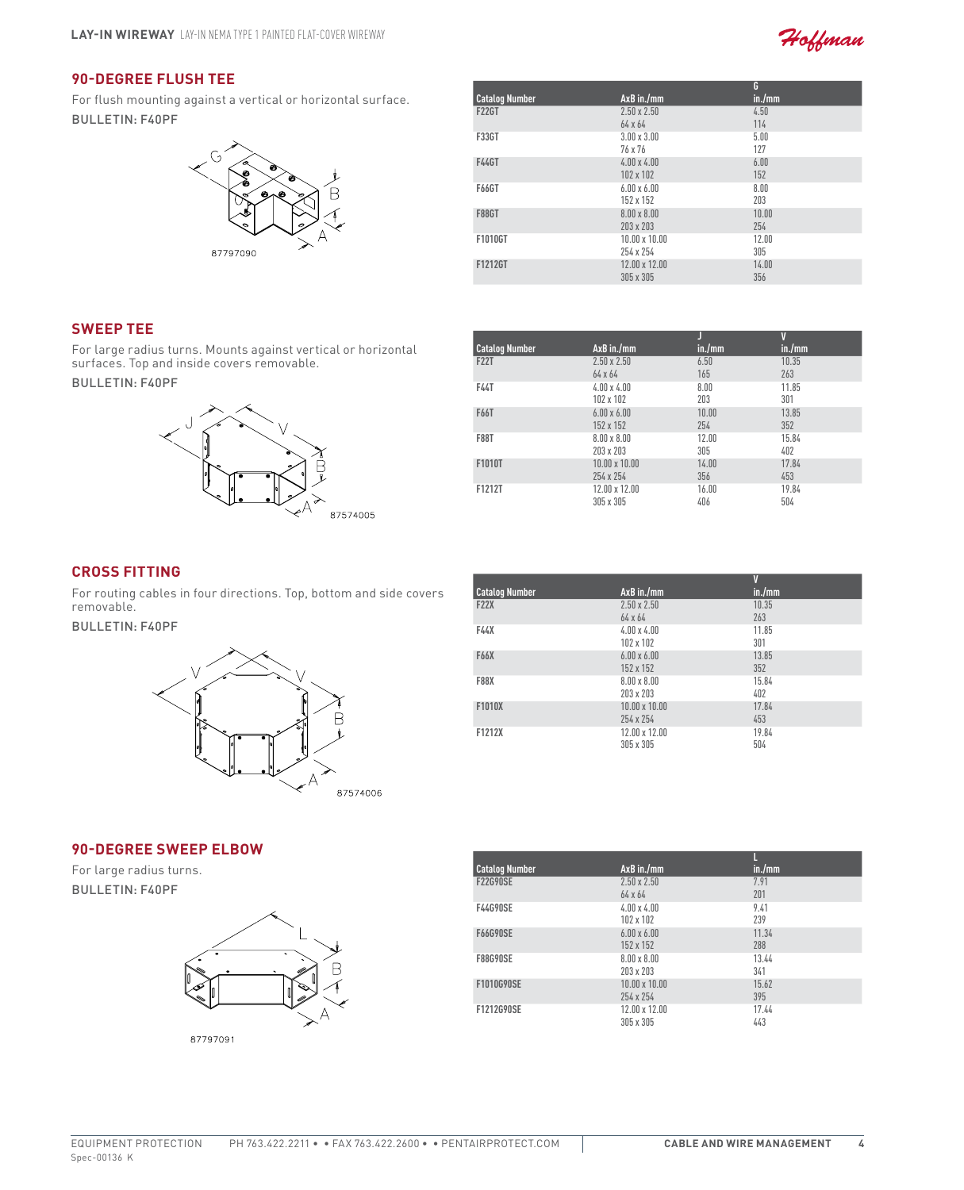

# **90-Degree Flush Tee**

For flush mounting against a vertical or horizontal surface. Bulletin: F40PF



|                       |                      | G      |
|-----------------------|----------------------|--------|
| <b>Catalog Number</b> | AxB in./mm           | in./mm |
| <b>F22GT</b>          | $2.50 \times 2.50$   | 4.50   |
|                       | 64 x 64              | 114    |
| <b>F33GT</b>          | $3.00 \times 3.00$   | 5.00   |
|                       | 76 x 76              | 127    |
| <b>F44GT</b>          | $4.00 \times 4.00$   | 6.00   |
|                       | 102 x 102            | 152    |
| <b>F66GT</b>          | $6.00 \times 6.00$   | 8.00   |
|                       | 152 x 152            | 203    |
| <b>F88GT</b>          | $8.00 \times 8.00$   | 10.00  |
|                       | 203 x 203            | 254    |
| F1010GT               | $10.00 \times 10.00$ | 12.00  |
|                       | 254 x 254            | 305    |
| F1212GT               | 12.00 x 12.00        | 14.00  |
|                       | 305 x 305            | 356    |

## **Sweep Tee**

For large radius turns. Mounts against vertical or horizontal surfaces. Top and inside covers removable.

Bulletin: F40PF



| <b>Catalog Number</b> | AxB in./mm                        | in./mm       | V<br>in./mm  |  |
|-----------------------|-----------------------------------|--------------|--------------|--|
| <b>F22T</b>           | $2.50 \times 2.50$<br>64 x 64     | 6.50<br>165  | 10.35<br>263 |  |
| <b>F44T</b>           | $4.00 \times 4.00$<br>102 x 102   | 8.00<br>203  | 11.85<br>301 |  |
| F66T                  | $6.00 \times 6.00$<br>152 x 152   | 10.00<br>254 | 13.85<br>352 |  |
| <b>F88T</b>           | $8.00 \times 8.00$<br>203 x 203   | 12.00<br>305 | 15.84<br>402 |  |
| F1010T                | $10.00 \times 10.00$<br>254 x 254 | 14.00<br>356 | 17.84<br>453 |  |
| F1212T                | 12.00 x 12.00<br>305 x 305        | 16.00<br>406 | 19.84<br>504 |  |

## **Cross Fitting**

For routing cables in four directions. Top, bottom and side covers removable.

Bulletin: F40PF



|                       |                      | V      |  |
|-----------------------|----------------------|--------|--|
| <b>Catalog Number</b> | AxB in./mm           | in./mm |  |
| <b>F22X</b>           | $2.50 \times 2.50$   | 10.35  |  |
|                       | 64 x 64              | 263    |  |
| F44X                  | $4.00 \times 4.00$   | 11.85  |  |
|                       | 102 x 102            | 301    |  |
| <b>F66X</b>           | $6.00 \times 6.00$   | 13.85  |  |
|                       | 152 x 152            | 352    |  |
| <b>F88X</b>           | $8.00 \times 8.00$   | 15.84  |  |
|                       | 203 x 203            | 402    |  |
| F1010X                | $10.00 \times 10.00$ | 17.84  |  |
|                       | 254 x 254            | 453    |  |
| F1212X                | 12.00 x 12.00        | 19.84  |  |
|                       | 305 x 305            | 504    |  |
|                       |                      |        |  |

#### **90-Degree Sweep Elbow**

For large radius turns. Bulletin: F40PF



| <b>Catalog Number</b> | AxB in./mm                           | in./mm       |  |
|-----------------------|--------------------------------------|--------------|--|
| <b>F22G90SE</b>       | $2.50 \times 2.50$<br>$64 \times 64$ | 7.91<br>201  |  |
| <b>F44G90SE</b>       | $4.00 \times 4.00$                   | 9.41<br>239  |  |
| <b>F66G90SE</b>       | 102 x 102<br>$6.00 \times 6.00$      | 11.34        |  |
| <b>F88G90SE</b>       | 152 x 152<br>$8.00 \times 8.00$      | 288<br>13.44 |  |
|                       | 203 x 203                            | 341          |  |
| F1010G90SE            | $10.00 \times 10.00$<br>254 x 254    | 15.62<br>395 |  |
| F1212G90SE            | 12.00 x 12.00<br>305 x 305           | 17.44<br>443 |  |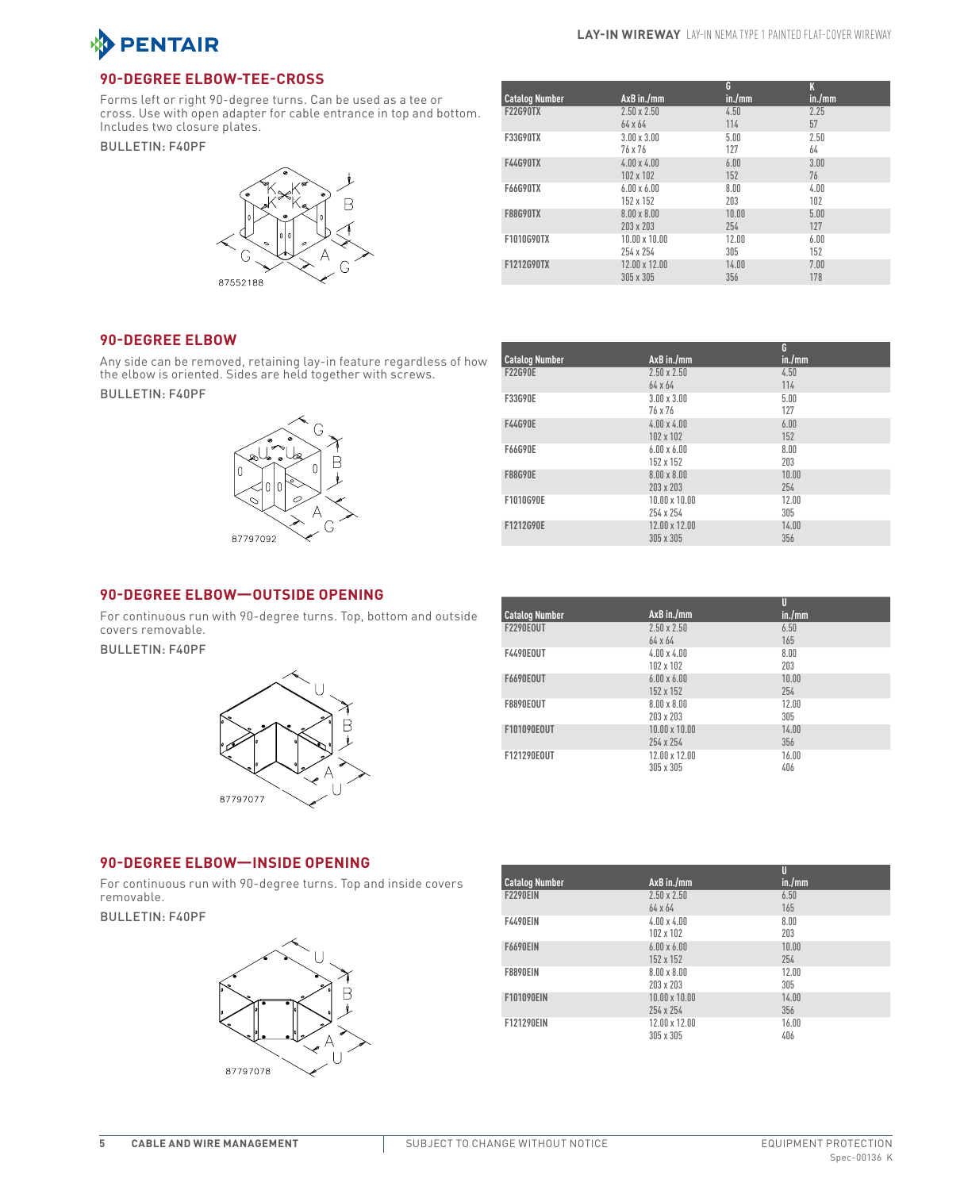

## **90-Degree Elbow-Tee-Cross**

Forms left or right 90-degree turns. Can be used as a tee or cross. Use with open adapter for cable entrance in top and bottom. Includes two closure plates.

### Bulletin: F40PF



|                       |                      | G      | K      |  |
|-----------------------|----------------------|--------|--------|--|
| <b>Catalog Number</b> | $AxB$ in./mm         | in./mm | in./mm |  |
| <b>F22G90TX</b>       | $2.50 \times 2.50$   | 4.50   | 2.25   |  |
|                       | 64 x 64              | 114    | 57     |  |
| <b>F33G90TX</b>       | $3.00 \times 3.00$   | 5.00   | 2.50   |  |
|                       | 76 x 76              | 127    | 64     |  |
| <b>F44G90TX</b>       | $4.00 \times 4.00$   | 6.00   | 3.00   |  |
|                       | 102 x 102            | 152    | 76     |  |
| <b>F66G90TX</b>       | $6.00 \times 6.00$   | 8.00   | 4.00   |  |
|                       | 152 x 152            | 203    | 102    |  |
| <b>F88G90TX</b>       | $8.00 \times 8.00$   | 10.00  | 5.00   |  |
|                       | 203 x 203            | 254    | 127    |  |
| F1010G90TX            | $10.00 \times 10.00$ | 12.00  | 6.00   |  |
|                       | 254 x 254            | 305    | 152    |  |
| F1212G90TX            | 12.00 x 12.00        | 14.00  | 7.00   |  |
|                       | 305 x 305            | 356    | 178    |  |

### **90-Degree Elbow**

Any side can be removed, retaining lay-in feature regardless of how the elbow is oriented. Sides are held together with screws.

Bulletin: F40PF



|                      | G          |
|----------------------|------------|
|                      | in./mm     |
| $2.50 \times 2.50$   | 4.50       |
| 64 x 64              | 114        |
| $3.00 \times 3.00$   | 5.00       |
| 76 x 76              | 127        |
| $4.00 \times 4.00$   | 6.00       |
| 102 x 102            | 152        |
| $6.00 \times 6.00$   | 8.00       |
| 152 x 152            | 203        |
| $8.00 \times 8.00$   | 10.00      |
| 203 x 203            | 254        |
| $10.00 \times 10.00$ | 12.00      |
| 254 x 254            | 305        |
| 12.00 x 12.00        | 14.00      |
| 305 x 305            | 356        |
|                      | AxB in./mm |

### **90-Degree Elbow—Outside Opening**

For continuous run with 90-degree turns. Top, bottom and outside covers removable.

Bulletin: F40PF



|                       |                      | U      |
|-----------------------|----------------------|--------|
| <b>Catalog Number</b> | AxB in./mm           | in./mm |
| <b>F2290E0UT</b>      | $2.50 \times 2.50$   | 6.50   |
|                       | 64 x 64              | 165    |
| <b>F4490EOUT</b>      | $4.00 \times 4.00$   | 8.00   |
|                       | 102 x 102            | 203    |
| <b>F6690EOUT</b>      | $6.00 \times 6.00$   | 10.00  |
|                       | 152 x 152            | 254    |
| <b>F8890EOUT</b>      | $8.00 \times 8.00$   | 12.00  |
|                       | 203 x 203            | 305    |
| F101090E0UT           | $10.00 \times 10.00$ | 14.00  |
|                       | 254 x 254            | 356    |
| F121290E0UT           | 12.00 x 12.00        | 16.00  |
|                       | 305 x 305            | 406    |

## **90-Degree Elbow—Inside Opening**

For continuous run with 90-degree turns. Top and inside covers removable.

Bulletin: F40PF



|                       |                      | U      |
|-----------------------|----------------------|--------|
| <b>Catalog Number</b> | AxB in./mm           | in./mm |
| <b>F2290EIN</b>       | $2.50 \times 2.50$   | 6.50   |
|                       | 64 x 64              | 165    |
| <b>F4490EIN</b>       | $4.00 \times 4.00$   | 8.00   |
|                       | 102 x 102            | 203    |
| <b>F6690EIN</b>       | $6.00 \times 6.00$   | 10.00  |
|                       | 152 x 152            | 254    |
| <b>F8890EIN</b>       | $8.00 \times 8.00$   | 12.00  |
|                       | 203 x 203            | 305    |
| <b>F101090EIN</b>     | $10.00 \times 10.00$ | 14.00  |
|                       | 254 x 254            | 356    |
| F121290EIN            | $12.00 \times 12.00$ | 16.00  |
|                       | 305 x 305            | 406    |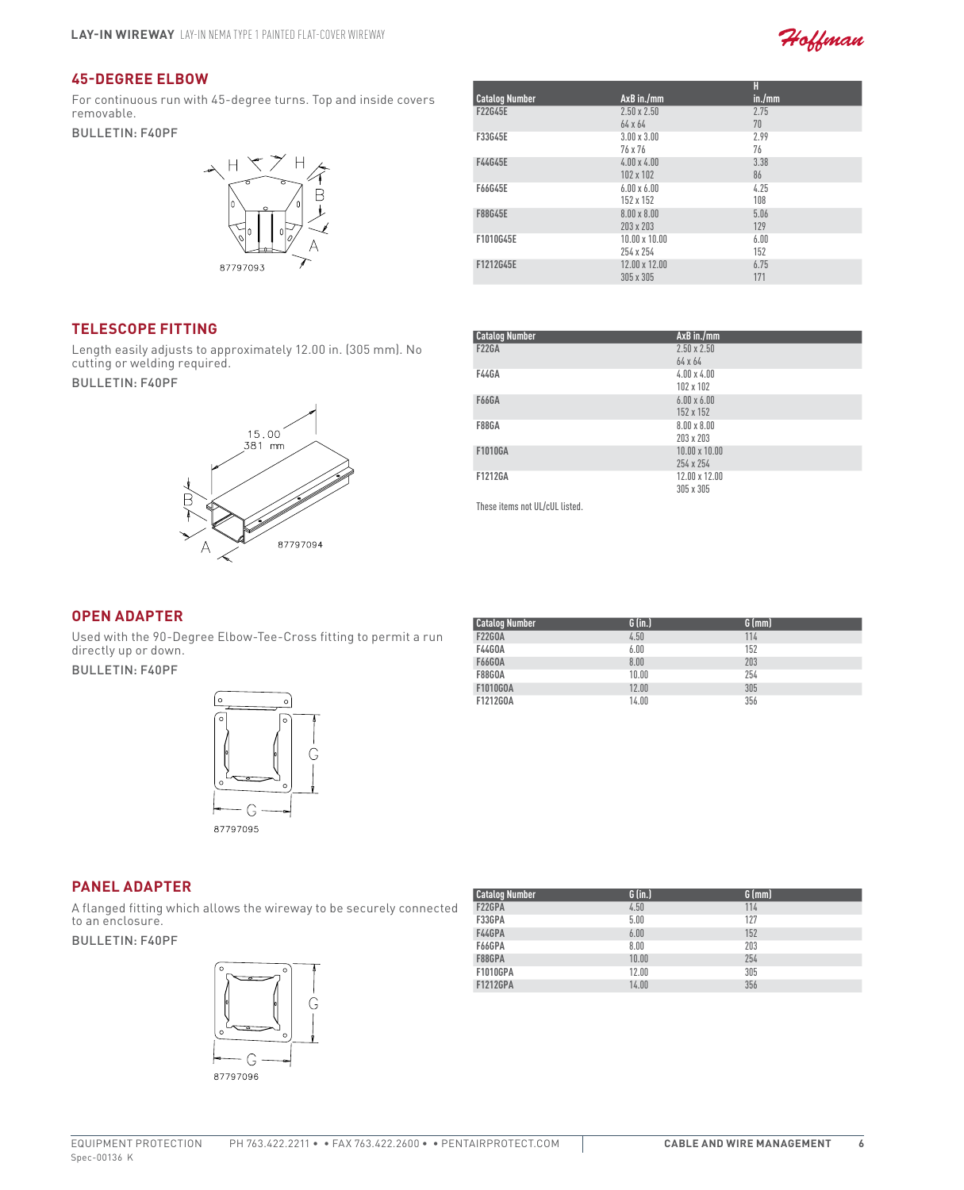

## **45-Degree Elbow**

For continuous run with 45-degree turns. Top and inside covers removable.

### Bulletin: F40PF



| <b>Catalog Number</b> | $AxB$ in./mm                      | H<br>in./mm |  |
|-----------------------|-----------------------------------|-------------|--|
| F22G45E               | $2.50 \times 2.50$<br>64 x 64     | 2.75<br>70  |  |
| F33G45E               | $3.00 \times 3.00$<br>76 x 76     | 2.99<br>76  |  |
| F44G45E               | $4.00 \times 4.00$<br>102 x 102   | 3.38<br>86  |  |
| F66G45E               | $6.00 \times 6.00$<br>152 x 152   | 4.25<br>108 |  |
| F88G45E               | $8.00 \times 8.00$<br>203 x 203   | 5.06<br>129 |  |
| F1010G45E             | $10.00 \times 10.00$<br>254 x 254 | 6.00<br>152 |  |
| F1212G45E             | 12.00 x 12.00<br>305 x 305        | 6.75<br>171 |  |

## **Telescope Fitting**

Length easily adjusts to approximately 12.00 in. (305 mm). No cutting or welding required.

Bulletin: F40PF



| <b>Catalog Number</b> | AxB in./mm           |
|-----------------------|----------------------|
| <b>F22GA</b>          | $2.50 \times 2.50$   |
|                       | 64 x 64              |
| <b>F44GA</b>          | $4.00 \times 4.00$   |
|                       | 102 x 102            |
| <b>F66GA</b>          | $6.00 \times 6.00$   |
|                       | 152 x 152            |
| <b>F88GA</b>          | $8.00 \times 8.00$   |
|                       | 203 x 203            |
| F1010GA               | $10.00 \times 10.00$ |
|                       | 254 x 254            |
| F1212GA               | 12.00 x 12.00        |
|                       | 305 x 305            |
|                       |                      |

These items not UL/cUL listed.

# **Open Adapter**

Used with the 90-Degree Elbow-Tee-Cross fitting to permit a run directly up or down.

Bulletin: F40PF



| <b>Catalog Number</b> | $G$ (in.) | $G$ (mm) |
|-----------------------|-----------|----------|
| <b>F22GOA</b>         | 4.50      | 114      |
| <b>F44G0A</b>         | 6.00      | 152      |
| <b>F66GOA</b>         | 8.00      | 203      |
| <b>F88GOA</b>         | 10.00     | 254      |
| F1010G0A              | 12.00     | 305      |
| F1212G0A              | 14.00     | 356      |

## **Panel Adapter**

A flanged fitting which allows the wireway to be securely connected to an enclosure.

### Bulletin: F40PF



| <b>Catalog Number</b> | $G$ (in.) | $G$ (mm) |  |
|-----------------------|-----------|----------|--|
| F22GPA                | 4.50      | 114      |  |
| F33GPA                | 5.00      | 127      |  |
| F44GPA                | 6.00      | 152      |  |
| F66GPA                | 8.00      | 203      |  |
| F88GPA                | 10.00     | 254      |  |
| <b>F1010GPA</b>       | 12.00     | 305      |  |
| <b>F1212GPA</b>       | 14.00     | 356      |  |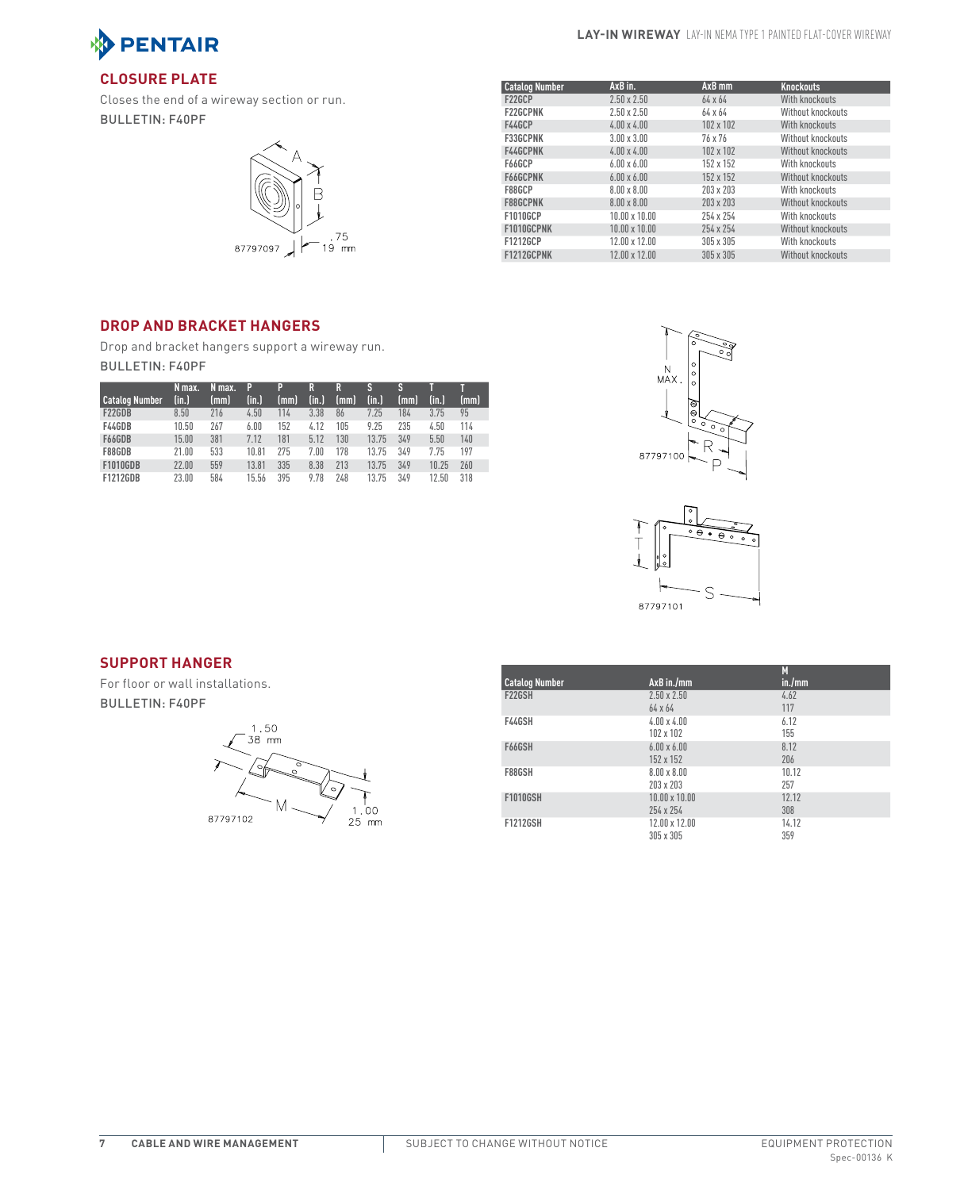

### **Lay-In Wireway** Lay-In NEMA Type 1 Painted Flat-Cover Wireway

# **Closure Plate**

Closes the end of a wireway section or run. Bulletin: F40PF



| <b>Catalog Number</b> | AxB in.              | $AxB$ mm       | <b>Knockouts</b>  |
|-----------------------|----------------------|----------------|-------------------|
| F22GCP                | $2.50 \times 2.50$   | $64 \times 64$ | With knockouts    |
| <b>F22GCPNK</b>       | $2.50 \times 2.50$   | 64 x 64        | Without knockouts |
| F44GCP                | $4.00 \times 4.00$   | 102 x 102      | With knockouts    |
| <b>F33GCPNK</b>       | $3.00 \times 3.00$   | 76 x 76        | Without knockouts |
| F44GCPNK              | $4.00 \times 4.00$   | 102 x 102      | Without knockouts |
| F66GCP                | $6.00 \times 6.00$   | 152 x 152      | With knockouts    |
| F66GCPNK              | $6.00 \times 6.00$   | 152 x 152      | Without knockouts |
| F88GCP                | $8.00 \times 8.00$   | 203 x 203      | With knockouts    |
| <b>F88GCPNK</b>       | $8.00 \times 8.00$   | 203 x 203      | Without knockouts |
| F1010GCP              | $10.00 \times 10.00$ | 254 x 254      | With knockouts    |
| F1010GCPNK            | 10.00 x 10.00        | 254 x 254      | Without knockouts |
| F1212GCP              | 12.00 x 12.00        | 305 x 305      | With knockouts    |
| F1212GCPNK            | 12.00 x 12.00        | 305 x 305      | Without knockouts |

# **Drop and Bracket Hangers**

Drop and bracket hangers support a wireway run. Bulletin: F40PF

| <b>Catalog Number</b> | N max.<br>(in.) | N max.<br>(mm) | P<br>(in.) | P<br>(mm) | R<br>(in.) | R<br>(mm) | S<br>(in.) | S<br>(mm) | (in.) | (mm) |
|-----------------------|-----------------|----------------|------------|-----------|------------|-----------|------------|-----------|-------|------|
| F22GDB                | 8.50            | 216            | 4.50       | 114       | 3.38       | 86        | 7.25       | 184       | 3.75  | 95   |
| F44GDB                | 10.50           | 267            | 6.00       | 152       | 4.12       | 105       | 9.25       | 235       | 4.50  | 114  |
| F66GDB                | 15.00           | 381            | 7.12       | 181       | 5.12       | 130       | 13.75      | 349       | 5.50  | 140  |
| F88GDB                | 21.00           | 533            | 10.81      | 275       | 7.00       | 178       | 13.75      | 349       | 7.75  | 197  |
| <b>F1010GDB</b>       | 22.00           | 559            | 13.81      | 335       | 8.38       | 213       | 13.75      | 349       | 10.25 | 260  |
| <b>F1212GDB</b>       | 23.00           | 584            | 15.56      | 395       | 9.78       | 248       | 13.75      | 349       | 12.50 | 318  |





## **Support Hanger**

For floor or wall installations. Bulletin: F40PF



|                       |                      | M      |
|-----------------------|----------------------|--------|
| <b>Catalog Number</b> | AxB in./mm           | in./mm |
| <b>F22GSH</b>         | $2.50 \times 2.50$   | 4.62   |
|                       | 64 x 64              | 117    |
| F44GSH                | $4.00 \times 4.00$   | 6.12   |
|                       | 102 x 102            | 155    |
| F66GSH                | $6.00 \times 6.00$   | 8.12   |
|                       | 152 x 152            | 206    |
| F88GSH                | $8.00 \times 8.00$   | 10.12  |
|                       | 203 x 203            | 257    |
| <b>F1010GSH</b>       | $10.00 \times 10.00$ | 12.12  |
|                       | 254 x 254            | 308    |
| <b>F1212GSH</b>       | 12.00 x 12.00        | 14.12  |
|                       | 305 x 305            | 359    |